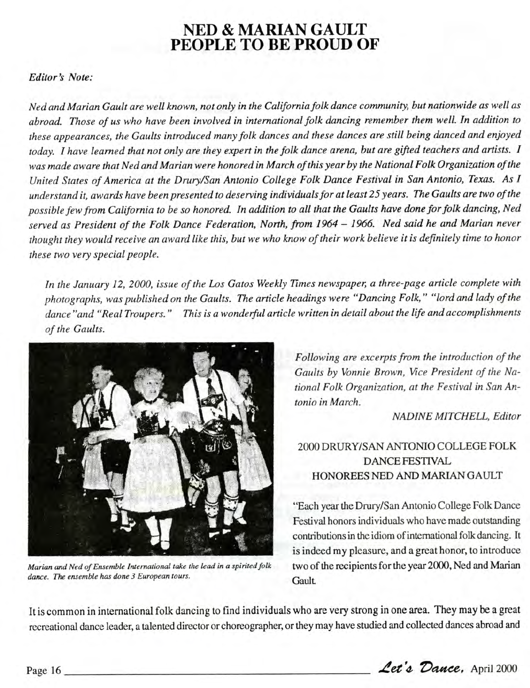## **NED & MARIAN GAULT PEOPLE TO BE PROUD OF**

## *Editor's Note:*

*Ned and Marian Gault are well known, not only in the California folk dance community, but nationwide as well as abroad. Those of us who have been involved in international folk dancing remember them well In addition to these appearances, the Gaults introduced many folk dances and these dances are still being danced and enjoyed today. I have learned that not only are they expert in the folk dance arena, but are gifted teachers and artists. I was made aware that Ned and Marian were honored in March of this year by the National Folk Organization of the United States of America at the Drury/San Antonio College Folk Dance Festival in San Antonio, Texas. As I understand it, awards have been presented to deserving individuals for at least 25 years. The Gaults are two of the possible few from California to be so honored. In addition to all that the Gaults have done for folk dancing, Ned served as President of the Folk Dance Federation, North, from 1964 - 1966. Ned said he and Marian never thought they would receive an award like this, but we who know of their work believe it is definitely time to honor these two very special people.*

*In the January 12, 2000, issue of the Los Gatos Weekly Times newspaper, a three-page article complete with photographs, was published on the Gaults. The article headings were "Dancing Folk," "lord and lady of the dance "and "Real Troupers." This is a wonderful article written in detail about the life and accomplishments of the Gaults.*



*Marian and Ned of Ensemble International take the lead in a spirited folk dance. The ensemble has done 3 European tours.*

*Following are excerpts from the introduction of the Gaults by Vonnie Brown, Vice President of the National Folk Organization, at the Festival in San Antonio in March.*

*NADINE MITCHELL, Editor*

## 2000 DRURY/SAN ANTONIO COLLEGE FOLK DANCE FESTIVAL HONOREES NED AND MARIAN GAULT

"Each year the Drury/San Antonio College Folk Dance Festival honors individuals who have made outstanding contributions in the idiom of international folk dancing. It is indeed my pleasure, and a great honor, to introduce two of the recipients for the year 2000, Ned and Marian **Gault** 

It is common in international folk dancing to find individuals who are very strong in one area. They may be a great recreational dance leader, a talented director or choreographer, or they may have studied and collected dances abroad and

Page 16  $\angle$  **Let's Dance**, April 2000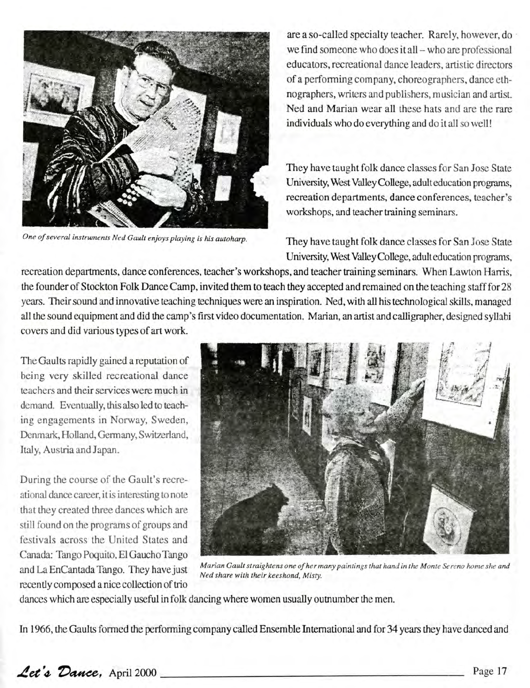

are a so-called specialty teacher. Rarely, however, do we find someone who does it all – who are professional educators, recreational dance leaders, artistic directors of a performing company, choreographers, dance ethnographers, writers and publishers, musician and artist. Ned and Marian wear all these hats and are the rare individuals who do everything and do it all so well!

They have taught folk dance classes for San Jose State University, West Valley College, adult education programs, recreation departments, dance conferences, teacher's workshops, and teacher training seminars.

*One of several instruments Ned Gault enjoys playing is his autoharp.* They have taught folk dance classes for San Jose State University, West Valley College, adult education programs,

recreation departments, dance conferences, teacher's workshops, and teacher training seminars. When Lawton Harris, the founder of Stockton Folk Dance Camp, invited them to teach they accepted and remained on the teaching staff for 28 years. Their sound and innovative teaching techniques were an inspiration. Ned, with all his technological skills, managed all the sound equipment and did the camp's first video documentation. Marian, an artist and calligrapher, designed syllabi covers and did various types of art work.

The Gaults rapidly gained a reputation of being very skilled recreational dance teachers and their services were much in demand. Eventually, this also led to teaching engagements in Norway, Sweden, Denmark, Holland, Germany, Switzerland, Italy, Austria and Japan.

During the course of the Gault's recreational dance career, it is interesting to note that they created three dances which are still found on the programs of groups and festivals across the United States and Canada: Tango Poquito, El Gaucho Tango and La EnCantada Tango. They have just recently composed a nice collection of trio



*Marian Gault straightens one of her many paintings that haml in the Monte Sereno home she and Ned share with their keeshond, Misty.*

dances which are especially useful in folk dancing where women usually outnumber the men.

In 1966, the Gaults formed the performing company called Ensemble International and for 34 years they have danced and